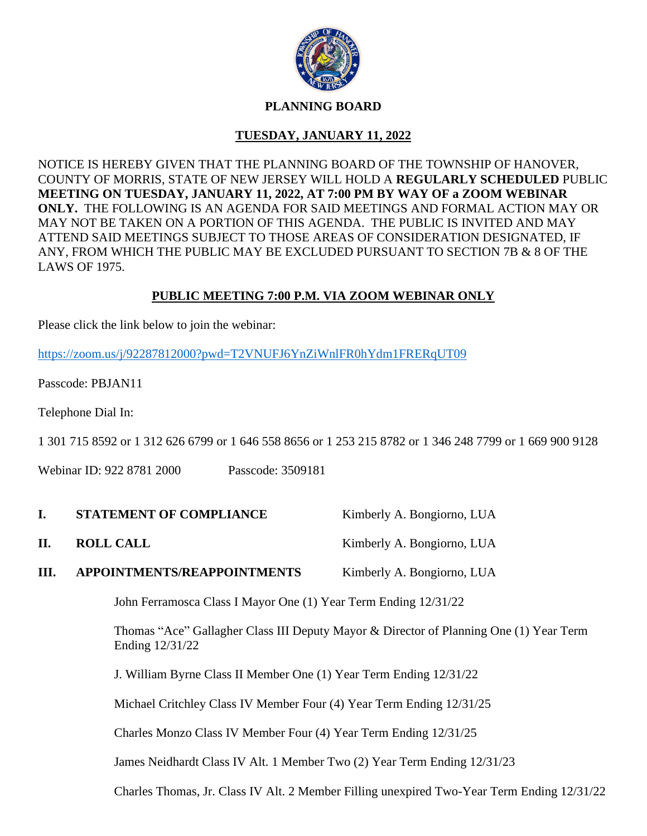

## **PLANNING BOARD**

# **TUESDAY, JANUARY 11, 2022**

NOTICE IS HEREBY GIVEN THAT THE PLANNING BOARD OF THE TOWNSHIP OF HANOVER, COUNTY OF MORRIS, STATE OF NEW JERSEY WILL HOLD A **REGULARLY SCHEDULED** PUBLIC **MEETING ON TUESDAY, JANUARY 11, 2022, AT 7:00 PM BY WAY OF a ZOOM WEBINAR ONLY.** THE FOLLOWING IS AN AGENDA FOR SAID MEETINGS AND FORMAL ACTION MAY OR MAY NOT BE TAKEN ON A PORTION OF THIS AGENDA. THE PUBLIC IS INVITED AND MAY ATTEND SAID MEETINGS SUBJECT TO THOSE AREAS OF CONSIDERATION DESIGNATED, IF ANY, FROM WHICH THE PUBLIC MAY BE EXCLUDED PURSUANT TO SECTION 7B & 8 OF THE LAWS OF 1975.

# **PUBLIC MEETING 7:00 P.M. VIA ZOOM WEBINAR ONLY**

Please click the link below to join the webinar:

<https://zoom.us/j/92287812000?pwd=T2VNUFJ6YnZiWnlFR0hYdm1FRERqUT09>

Passcode: PBJAN11

Telephone Dial In:

1 301 715 8592 or 1 312 626 6799 or 1 646 558 8656 or 1 253 215 8782 or 1 346 248 7799 or 1 669 900 9128

Webinar ID: 922 8781 2000 Passcode: 3509181

- **I. STATEMENT OF COMPLIANCE** Kimberly A. Bongiorno, LUA
- **II. ROLL CALL** Kimberly A. Bongiorno, LUA
- **III. APPOINTMENTS/REAPPOINTMENTS** Kimberly A. Bongiorno, LUA

John Ferramosca Class I Mayor One (1) Year Term Ending 12/31/22

Thomas "Ace" Gallagher Class III Deputy Mayor & Director of Planning One (1) Year Term Ending 12/31/22

J. William Byrne Class II Member One (1) Year Term Ending 12/31/22

Michael Critchley Class IV Member Four (4) Year Term Ending 12/31/25

Charles Monzo Class IV Member Four (4) Year Term Ending 12/31/25

James Neidhardt Class IV Alt. 1 Member Two (2) Year Term Ending 12/31/23

Charles Thomas, Jr. Class IV Alt. 2 Member Filling unexpired Two-Year Term Ending 12/31/22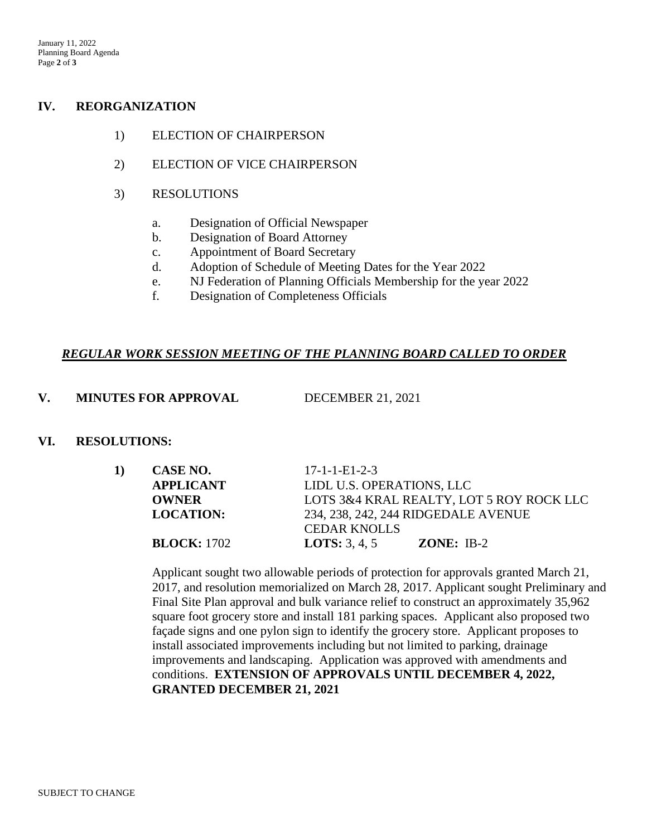#### **IV. REORGANIZATION**

- 1) ELECTION OF CHAIRPERSON
- 2) ELECTION OF VICE CHAIRPERSON
- 3) RESOLUTIONS
	- a. Designation of Official Newspaper
	- b. Designation of Board Attorney
	- c. Appointment of Board Secretary
	- d. Adoption of Schedule of Meeting Dates for the Year 2022
	- e. NJ Federation of Planning Officials Membership for the year 2022
	- f. Designation of Completeness Officials

## *REGULAR WORK SESSION MEETING OF THE PLANNING BOARD CALLED TO ORDER*

#### **V. MINUTES FOR APPROVAL** DECEMBER 21, 2021

## **VI. RESOLUTIONS:**

| CASE NO.           | $17 - 1 - 1 - E1 - 2 - 3$                |  |  |
|--------------------|------------------------------------------|--|--|
| <b>APPLICANT</b>   | LIDL U.S. OPERATIONS, LLC                |  |  |
| <b>OWNER</b>       | LOTS 3&4 KRAL REALTY, LOT 5 ROY ROCK LLC |  |  |
| <b>LOCATION:</b>   | 234, 238, 242, 244 RIDGEDALE AVENUE      |  |  |
|                    | <b>CEDAR KNOLLS</b>                      |  |  |
| <b>BLOCK:</b> 1702 | <b>LOTS:</b> $3, 4, 5$<br>$ZONE: IB-2$   |  |  |
|                    |                                          |  |  |

Applicant sought two allowable periods of protection for approvals granted March 21, 2017, and resolution memorialized on March 28, 2017. Applicant sought Preliminary and Final Site Plan approval and bulk variance relief to construct an approximately 35,962 square foot grocery store and install 181 parking spaces. Applicant also proposed two façade signs and one pylon sign to identify the grocery store. Applicant proposes to install associated improvements including but not limited to parking, drainage improvements and landscaping. Application was approved with amendments and conditions. **EXTENSION OF APPROVALS UNTIL DECEMBER 4, 2022, GRANTED DECEMBER 21, 2021**